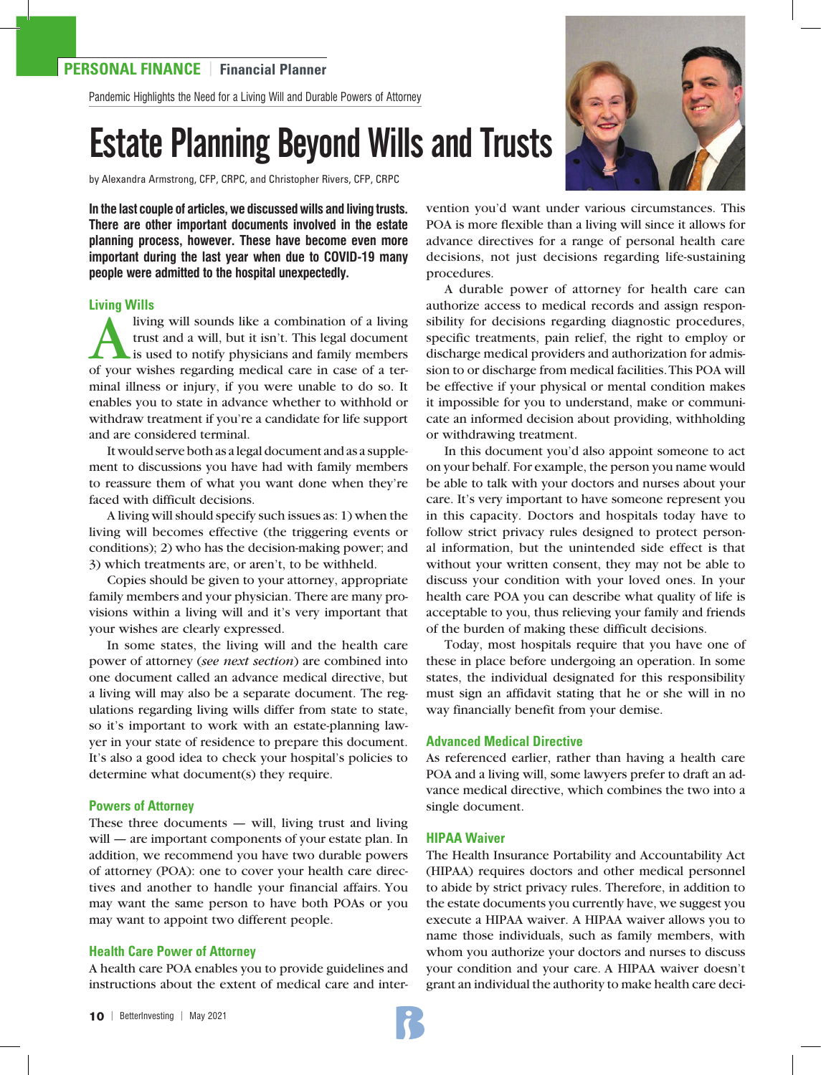Pandemic Highlights the Need for a Living Will and Durable Powers of Attorney

# Estate Planning Beyond Wills and Trusts

by Alexandra Armstrong, CFP, CRPC, and Christopher Rivers, CFP, CRPC

**In the last couple of articles, we discussed wills and living trusts. There are other important documents involved in the estate planning process, however. These have become even more important during the last year when due to COVID-19 many people were admitted to the hospital unexpectedly.**

#### **Living Wills**

It living will sounds like a combination of a living<br>trust and a will, but it isn't. This legal document<br>is used to notify physicians and family members<br>of your wishes regarding medical care in case of a tertrust and a will, but it isn't. This legal document is used to notify physicians and family members of your wishes regarding medical care in case of a terminal illness or injury, if you were unable to do so. It enables you to state in advance whether to withhold or withdraw treatment if you're a candidate for life support and are considered terminal.

It would serve both as a legal document and as a supplement to discussions you have had with family members to reassure them of what you want done when they're faced with difficult decisions.

A living will should specify such issues as: 1) when the living will becomes effective (the triggering events or conditions); 2) who has the decision-making power; and 3) which treatments are, or aren't, to be withheld.

Copies should be given to your attorney, appropriate family members and your physician. There are many provisions within a living will and it's very important that your wishes are clearly expressed.

In some states, the living will and the health care power of attorney (*see next section*) are combined into one document called an advance medical directive, but a living will may also be a separate document. The regulations regarding living wills differ from state to state, so it's important to work with an estate-planning lawyer in your state of residence to prepare this document. It's also a good idea to check your hospital's policies to determine what document(s) they require.

#### **Powers of Attorney**

These three documents  $-$  will, living trust and living will — are important components of your estate plan. In addition, we recommend you have two durable powers of attorney (POA): one to cover your health care directives and another to handle your financial affairs. You may want the same person to have both POAs or you may want to appoint two different people.

#### **Health Care Power of Attorney**

A health care POA enables you to provide guidelines and instructions about the extent of medical care and inter-



vention you'd want under various circumstances. This POA is more flexible than a living will since it allows for advance directives for a range of personal health care decisions, not just decisions regarding life-sustaining procedures.

A durable power of attorney for health care can authorize access to medical records and assign responsibility for decisions regarding diagnostic procedures, specific treatments, pain relief, the right to employ or discharge medical providers and authorization for admission to or discharge from medical facilities. This POA will be effective if your physical or mental condition makes it impossible for you to understand, make or communicate an informed decision about providing, withholding or withdrawing treatment.

In this document you'd also appoint someone to act on your behalf. For example, the person you name would be able to talk with your doctors and nurses about your care. It's very important to have someone represent you in this capacity. Doctors and hospitals today have to follow strict privacy rules designed to protect personal information, but the unintended side effect is that without your written consent, they may not be able to discuss your condition with your loved ones. In your health care POA you can describe what quality of life is acceptable to you, thus relieving your family and friends of the burden of making these difficult decisions.

Today, most hospitals require that you have one of these in place before undergoing an operation. In some states, the individual designated for this responsibility must sign an affidavit stating that he or she will in no way financially benefit from your demise.

#### **Advanced Medical Directive**

As referenced earlier, rather than having a health care POA and a living will, some lawyers prefer to draft an advance medical directive, which combines the two into a single document.

### **HIPAA Waiver**

The Health Insurance Portability and Accountability Act (HIPAA) requires doctors and other medical personnel to abide by strict privacy rules. Therefore, in addition to the estate documents you currently have, we suggest you execute a HIPAA waiver. A HIPAA waiver allows you to name those individuals, such as family members, with whom you authorize your doctors and nurses to discuss your condition and your care. A HIPAA waiver doesn't grant an individual the authority to make health care deci-